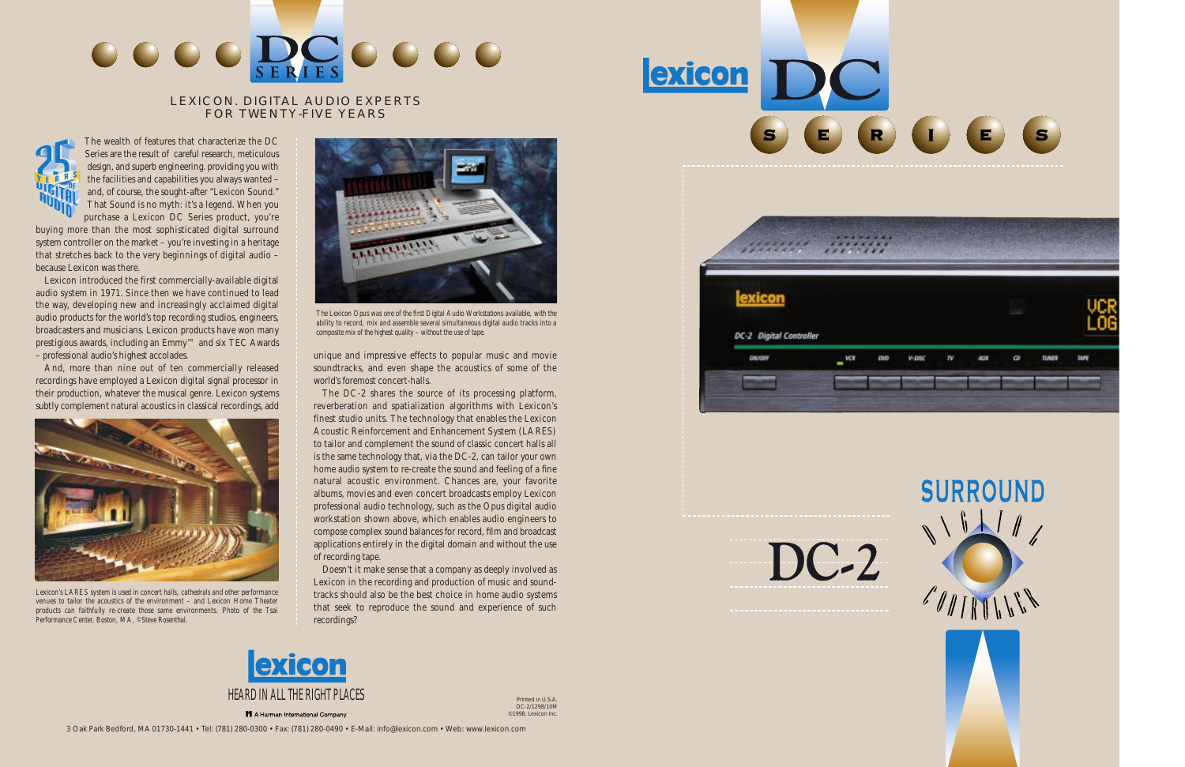The wealth of features that characterize the DC Series are the result of careful research, meticulous design, and superb engineering. providing you with the facilities and capabilities you always wanted – and, of course, the sought-after "Lexicon Sound." That Sound is no myth: it's a legend. When you purchase a Lexicon DC Series product, you're

buying more than the most sophisticated digital surround system controller on the market – you're investing in a heritage that stretches back to the very beginnings of digital audio – because Lexicon was there.

Lexicon introduced the first commercially-available digital audio system in 1971. Since then we have continued to lead the way, developing new and increasingly acclaimed digital audio products for the world's top recording studios, engineers, broadcasters and musicians. Lexicon products have won many prestigious awards, including an Emmy™ and six TEC Awards – professional audio's highest accolades.

And, more than nine out of ten commercially released recordings have employed a Lexicon digital signal processor in their production, whatever the musical genre. Lexicon systems subtly complement natural acoustics in classical recordings, add unique and impressive effects to popular music and movie soundtracks, and even shape the acoustics of some of the world's foremost concert-halls.

The DC-2 shares the source of its processing platform, reverberation and spatialization algorithms with Lexicon's finest studio units. The technology that enables the Lexicon Acoustic Reinforcement and Enhancement System (LARES) to tailor and complement the sound of classic concert halls all is the same technology that, via the DC-2, can tailor your own home audio system to re-create the sound and feeling of a fine natural acoustic environment. Chances are, your favorite albums, movies and even concert broadcasts employ Lexicon professional audio technology, such as the Opus digital audio workstation shown above, which enables audio engineers to compose complex sound balances for record, film and broadcast applications entirely in the digital domain and without the use of recording tape.

Doesn't it make sense that a company as deeply involved as Lexicon in the recording and production of music and soundtracks should also be the best choice in home audio systems that seek to reproduce the sound and experience of such recordings?



*Lexicon's LARES system is used in concert halls, cathedrals and other performance venues to tailor the acoustics of the environment – and Lexicon Home Theater products can faithfully re-create those same environments. Photo of the Tsai Performance Center, Boston, MA, ©Steve Rosenthal.*



*The Lexicon Opus was one of the first Digital Audio Workstations available, with the ability to record, mix and assemble several simultaneous digital audio tracks into a composite mix of the highest quality – without the use of tape.*



# LEXICON. DIGITAL AUDIO EXPERTS FOR TWENTY-FIVE YEARS





H A Harman International Company





Printed in U.S.A. DC-2/1298/10M ©1998, Lexicon Inc.



# $DC-2$

**exicon**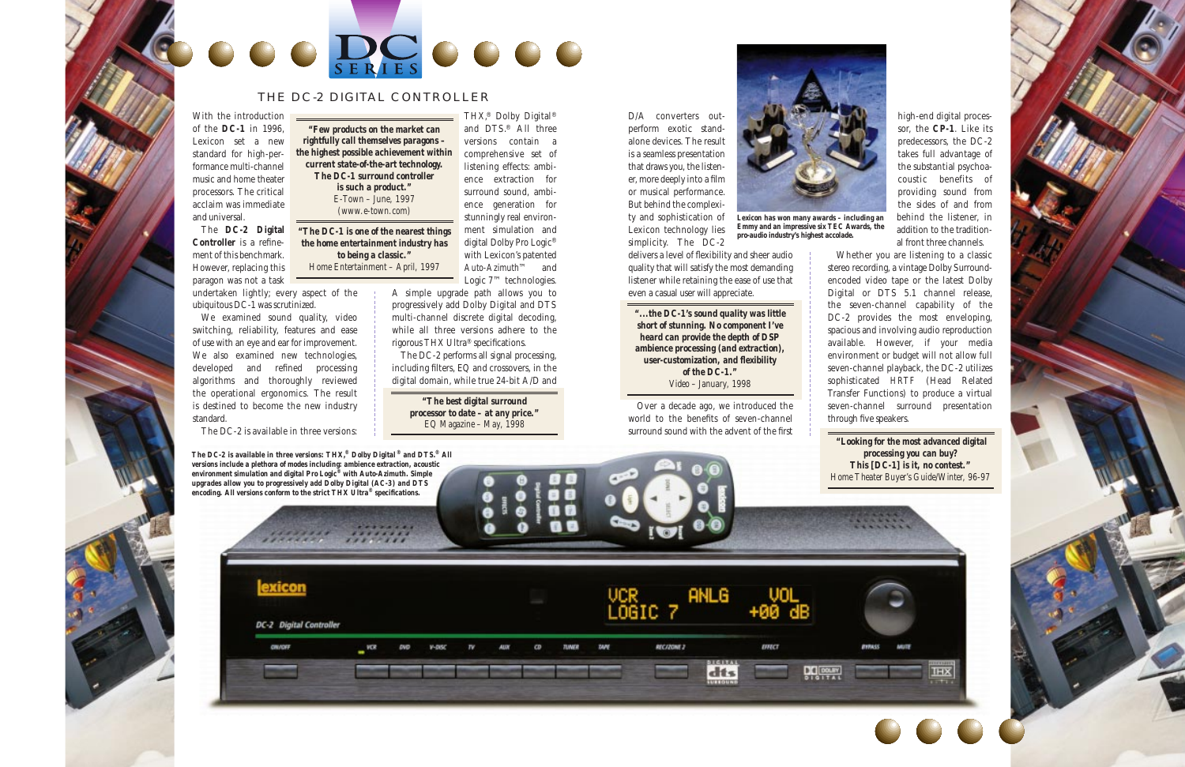D/A converters outperform exotic standalone devices. The result is a seamless presentation that draws you, the listener, more deeply into a film or musical performance. But behind the complexity and sophistication of Lexicon technology lies simplicity. The DC-2

delivers a level of flexibility and sheer audio quality that will satisfy the most demanding listener while retaining the ease of use that even a casual user will appreciate.

Over a decade ago, we introduced the world to the benefits of seven-channel surround sound with the advent of the first

high-end digital processor, the **CP-1**. Like its predecessors, the DC-2 takes full advantage of the substantial psychoacoustic benefits of providing sound from the sides of and from behind the listener, in addition to the traditional front three channels.

Whether you are listening to a classic stereo recording, a vintage Dolby Surroundencoded video tape or the latest Dolby Digital or DTS 5.1 channel release, the seven-channel capability of the DC-2 provides the most enveloping, spacious and involving audio reproduction available. However, if your media environment or budget will not allow full seven-channel playback, the DC-2 utilizes sophisticated *HRTF* (Head Related Transfer Functions) to produce a virtual seven-channel surround presentation through five speakers.

With the introduction of the **DC-1** in 1996, Lexicon set a new standard for high-performance multi-channel music and home theater processors. The critical acclaim was immediate and universal.

The **DC-2 Digital Controller** is a refinement of this benchmark. However, replacing this paragon was not a task

undertaken lightly; every aspect of the ubiquitous DC-1 was scrutinized.

We examined sound quality, video switching, reliability, features and ease of use with an eye and ear for improvement. We also examined new technologies, developed and refined processing algorithms and thoroughly reviewed the operational ergonomics. The result is destined to become the new industry standard.

The DC-2 is available in three versions:

Logic 7™ technologies.

A simple upgrade path allows you to progressively add Dolby Digital and DTS multi-channel discrete digital decoding, while all three versions adhere to the rigorous THX Ultra® specifications.





versions contain a comprehensive set of listening effects: ambience extraction for surround sound, ambience generation for stunningly real environment simulation and digital Dolby Pro Logic® with Lexicon's patented *Auto-Azimuth™* and *rightfully call themselves paragons – the highest possible achievement within current state-of-the-art technology. The DC-1 surround controller* 

> The DC-2 performs all signal processing, including filters, EQ and crossovers, in the digital domain, while true 24-bit A/D and

# THE DC-2 DIGITAL CONTROLLER

*Lexicon has won many awards – including an Emmy and an impressive six TEC Awards, the pro-audio industry's highest accolade.*

*is such a product." E-Town – June, 1997 (www.e-town.com)*

> *"The best digital surround processor to date – at any price." EQ Magazine – May, 1998*

*"The DC-1 is one of the nearest things the home entertainment industry has to being a classic." Home Entertainment – April, 1997*

> *"...the DC-1's sound quality was little short of stunning. No component I've heard can provide the depth of DSP ambience processing (and extraction), user-customization, and flexibility of the DC-1." Video – January, 1998*

*The DC-2 is available in three versions: THX,® Dolby Digital ® and DTS.® All versions include a plethora of modes including: ambience extraction, acoustic environment simulation and digital Pro Logic® with Auto-Azimuth. Simple upgrades allow you to progressively add Dolby Digital (AC-3) and DTS*



*"Looking for the most advanced digital processing you can buy? This [DC-1] is it, no contest." Home Theater Buyer's Guide/Winter, 96-97*

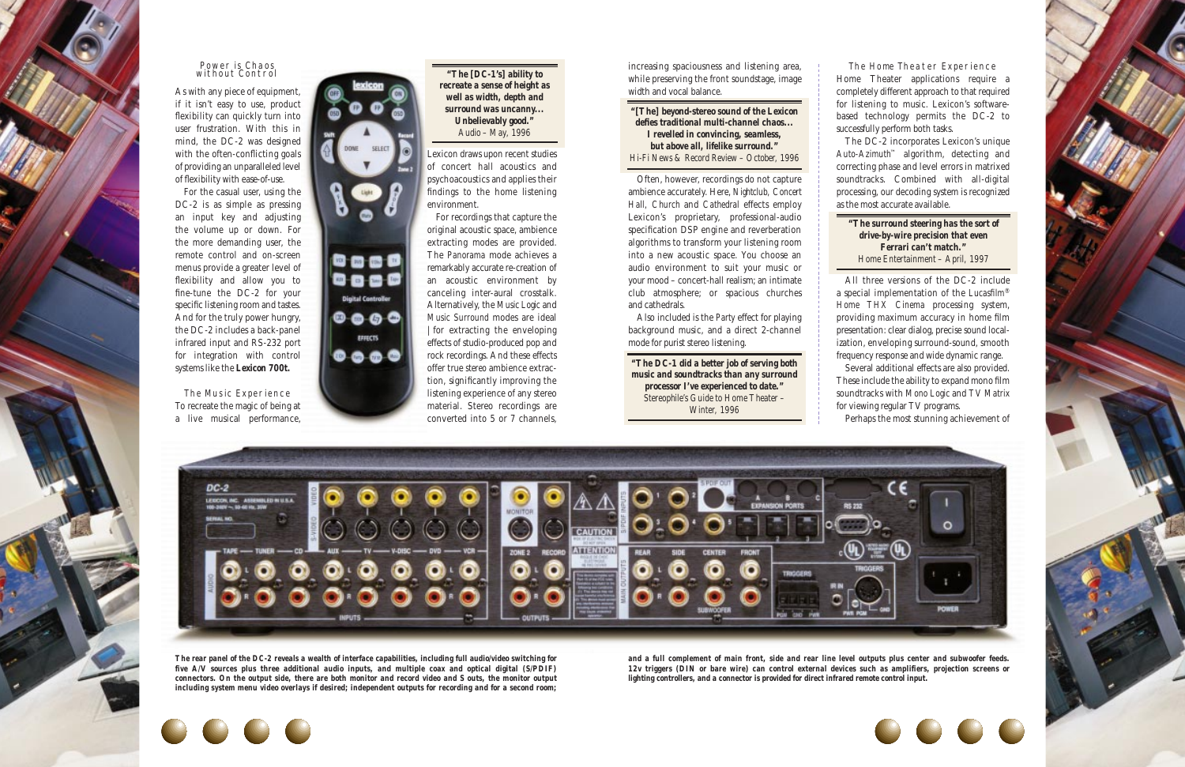increasing spaciousness and listening area, while preserving the front soundstage, image width and vocal balance.

Often, however, recordings do not capture ambience accurately. Here, *Nightclub, Concert Hall, Church* and *Cathedral* effects employ Lexicon's proprietary, professional-audio specification DSP engine and reverberation algorithms to transform your listening room into a new acoustic space. You choose an audio environment to suit your music or your mood – concert-hall realism; an intimate club atmosphere; or spacious churches and cathedrals.

Also included is the *Party* effect for playing background music, and a direct 2-channel mode for purist stereo listening.

The Home Theater Experience Home Theater applications require a completely different approach to that required for listening to music. Lexicon's softwarebased technology permits the DC-2 to successfully perform both tasks. The DC-2 incorporates Lexicon's unique

*Auto-Azimuth*™ algorithm, detecting and correcting phase and level errors in matrixed soundtracks. Combined with all-digital processing, our decoding system is recognized as the most accurate available.

All three versions of the DC-2 include a special implementation of the *Lucasfilm*® *Home THX Cinema* processing system, providing maximum accuracy in home film presentation: clear dialog, precise sound localization, enveloping surround-sound, smooth frequency response and wide dynamic range. Several additional effects are also provided.

These include the ability to expand mono film soundtracks with *Mono Logic* and *TV Matrix* for viewing regular TV programs. Perhaps the most stunning achievement of



## Power is Chaos without Control

As with any piece of equipment, if it isn't easy to use, product flexibility can quickly turn into user frustration. With this in mind, the DC-2 was designed with the often-conflicting goals of providing an unparalleled level of flexibility with ease-of-use.

For the casual user, using the DC-2 is as simple as pressing an input key and adjusting the volume up or down. For the more demanding user, the remote control and on-screen menus provide a greater level of flexibility and allow you to fine-tune the DC-2 for your specific listening room and tastes. And for the truly power hungry, the DC-2 includes a back-panel infrared input and RS-232 port for integration with control systems like the *Lexicon 700t.*

The Music Experience To recreate the magic of being at a live musical performance,



Lexicon draws upon recent studies of concert hall acoustics and psychoacoustics and applies their findings to the home listening environment.

For recordings that capture the original acoustic space, ambience extracting modes are provided. The *Panorama* mode achieves a remarkably accurate re-creation of an acoustic environment by canceling inter-aural crosstalk. Alternatively, the *Music Logic* and *Music Surround* modes are ideal |for extracting the enveloping effects of studio-produced pop and rock recordings. And these effects offer true *stereo* ambience extraction, significantly improving the listening experience of any stereo material. Stereo recordings are converted into 5 or 7 channels,

*The rear panel of the DC-2 reveals a wealth of interface capabilities, including full audio/video switching for five A/V sources plus three additional audio inputs, and multiple coax and optical digital (S/PDIF) connectors. On the output side, there are both monitor and record video and S outs, the monitor output including system menu video overlays if desired; independent outputs for recording and for a second room;*  *and a full complement of main front, side and rear line level outputs plus center and subwoofer feeds. 12v triggers (DIN or bare wire) can control external devices such as amplifiers, projection screens or lighting controllers, and a connector is provided for direct infrared remote control input.*



*"[The] beyond-stereo sound of the Lexicon defies traditional multi-channel chaos... I revelled in convincing, seamless, but above all, lifelike surround." Hi-Fi News & Record Review – October, 1996*

*"The DC-1 did a better job of serving both music and soundtracks than any surround processor I've experienced to date." Stereophile's Guide to Home Theater – Winter, 1996*

*"The surround steering has the sort of drive-by-wire precision that even Ferrari can't match." Home Entertainment – April, 1997*





*"The [DC-1's] ability to recreate a sense of height as well as width, depth and surround was uncanny... Unbelievably good." Audio – May, 1996*